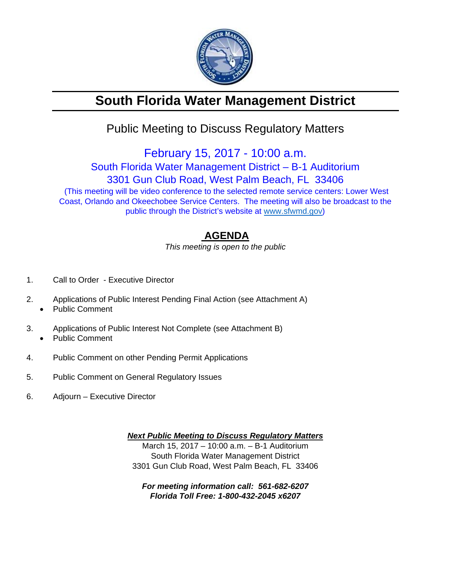

# **South Florida Water Management District**

## Public Meeting to Discuss Regulatory Matters

February 15, 2017 - 10:00 a.m.

South Florida Water Management District – B-1 Auditorium

3301 Gun Club Road, West Palm Beach, FL 33406

 (This meeting will be video conference to the selected remote service centers: Lower West Coast, Orlando and Okeechobee Service Centers. The meeting will also be broadcast to the public through the District's website at www.sfwmd.gov)

### **AGENDA**

*This meeting is open to the public* 

- 1. Call to Order Executive Director
- 2. Applications of Public Interest Pending Final Action (see Attachment A)
	- Public Comment
- 3. Applications of Public Interest Not Complete (see Attachment B) Public Comment
- 4. Public Comment on other Pending Permit Applications
- 5. Public Comment on General Regulatory Issues
- 6. Adjourn Executive Director

*Next Public Meeting to Discuss Regulatory Matters*  March 15, 2017 – 10:00 a.m. – B-1 Auditorium South Florida Water Management District 3301 Gun Club Road, West Palm Beach, FL 33406

*For meeting information call: 561-682-6207 Florida Toll Free: 1-800-432-2045 x6207*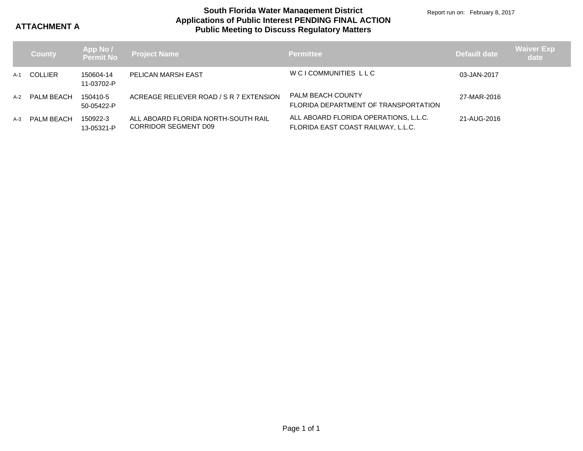**ATTACHMENT A**

### **Applications of Public Interest PENDING FINAL ACTION Public Meeting to Discuss Regulatory Matters South Florida Water Management District**

Report run on: February 8, 2017

|     | <b>County</b>  |                         | App No /<br>Permit No Project Name                          | <b>Permittee</b>                                                            | Default date | <b>Waiver Exp</b><br>date |
|-----|----------------|-------------------------|-------------------------------------------------------------|-----------------------------------------------------------------------------|--------------|---------------------------|
| A-1 | <b>COLLIER</b> | 150604-14<br>11-03702-P | PELICAN MARSH EAST                                          | WCICOMMUNITIES LLC                                                          | 03-JAN-2017  |                           |
| A-2 | PALM BEACH     | 150410-5<br>50-05422-P  | ACREAGE RELIEVER ROAD / S R 7 EXTENSION                     | <b>PALM BEACH COUNTY</b><br>FLORIDA DEPARTMENT OF TRANSPORTATION            | 27-MAR-2016  |                           |
| A-3 | PALM BEACH     | 150922-3<br>13-05321-P  | ALL ABOARD FLORIDA NORTH-SOUTH RAIL<br>CORRIDOR SEGMENT D09 | ALL ABOARD FLORIDA OPERATIONS, L.L.C.<br>FLORIDA EAST COAST RAILWAY, L.L.C. | 21-AUG-2016  |                           |